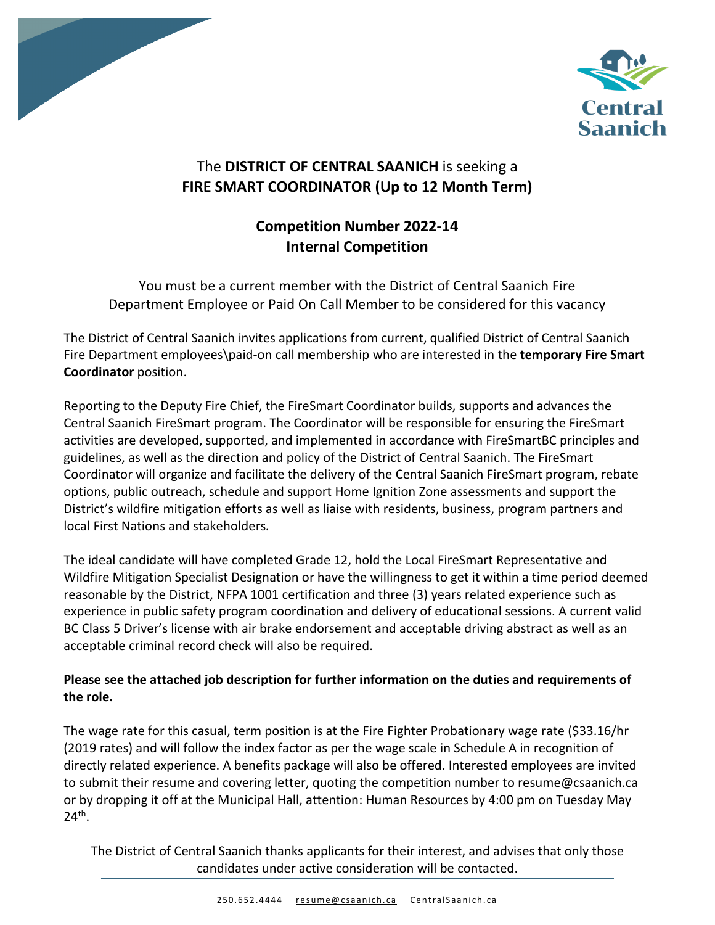



# The **DISTRICT OF CENTRAL SAANICH** is seeking a **FIRE SMART COORDINATOR (Up to 12 Month Term)**

# **Competition Number 2022-14 Internal Competition**

You must be a current member with the District of Central Saanich Fire Department Employee or Paid On Call Member to be considered for this vacancy

The District of Central Saanich invites applications from current, qualified District of Central Saanich Fire Department employees\paid-on call membership who are interested in the **temporary Fire Smart Coordinator** position.

Reporting to the Deputy Fire Chief, the FireSmart Coordinator builds, supports and advances the Central Saanich FireSmart program. The Coordinator will be responsible for ensuring the FireSmart activities are developed, supported, and implemented in accordance with FireSmartBC principles and guidelines, as well as the direction and policy of the District of Central Saanich. The FireSmart Coordinator will organize and facilitate the delivery of the Central Saanich FireSmart program, rebate options, public outreach, schedule and support Home Ignition Zone assessments and support the District's wildfire mitigation efforts as well as liaise with residents, business, program partners and local First Nations and stakeholders*.* 

The ideal candidate will have completed Grade 12, hold the Local FireSmart Representative and Wildfire Mitigation Specialist Designation or have the willingness to get it within a time period deemed reasonable by the District, NFPA 1001 certification and three (3) years related experience such as experience in public safety program coordination and delivery of educational sessions. A current valid BC Class 5 Driver's license with air brake endorsement and acceptable driving abstract as well as an acceptable criminal record check will also be required.

# **Please see the attached job description for further information on the duties and requirements of the role.**

The wage rate for this casual, term position is at the Fire Fighter Probationary wage rate (\$33.16/hr (2019 rates) and will follow the index factor as per the wage scale in Schedule A in recognition of directly related experience. A benefits package will also be offered. Interested employees are invited to submit their resume and covering letter, quoting the competition number to resume@csaanich.ca or by dropping it off at the Municipal Hall, attention: Human Resources by 4:00 pm on Tuesday May 24th.

The District of Central Saanich thanks applicants for their interest, and advises that only those candidates under active consideration will be contacted.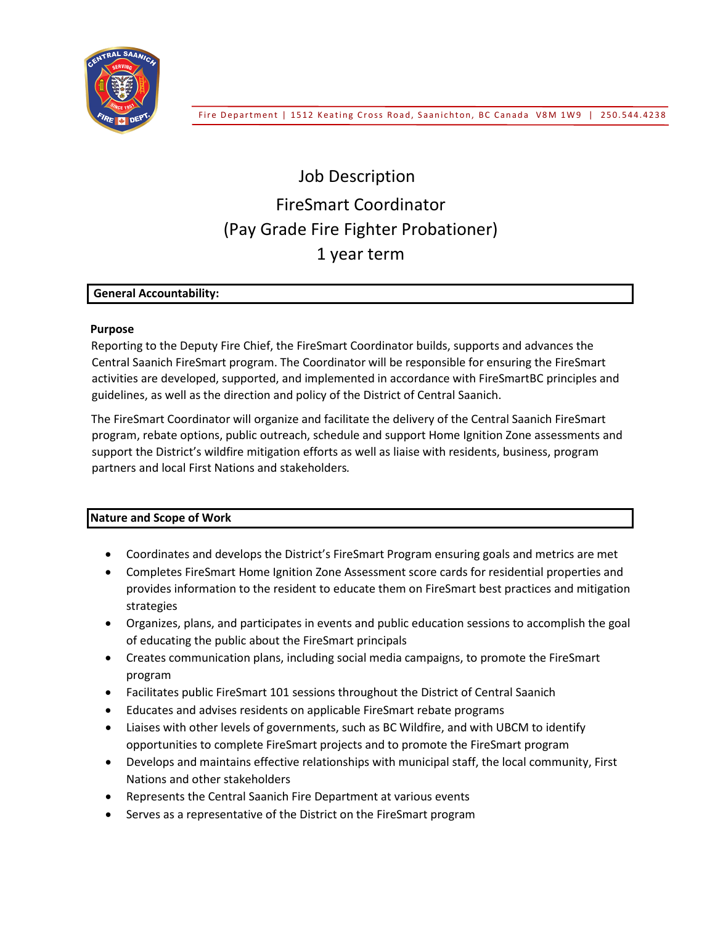

# Job Description FireSmart Coordinator (Pay Grade Fire Fighter Probationer) 1 year term

## **General Accountability:**

## **Purpose**

Reporting to the Deputy Fire Chief, the FireSmart Coordinator builds, supports and advances the Central Saanich FireSmart program. The Coordinator will be responsible for ensuring the FireSmart activities are developed, supported, and implemented in accordance with FireSmartBC principles and guidelines, as well as the direction and policy of the District of Central Saanich.

The FireSmart Coordinator will organize and facilitate the delivery of the Central Saanich FireSmart program, rebate options, public outreach, schedule and support Home Ignition Zone assessments and support the District's wildfire mitigation efforts as well as liaise with residents, business, program partners and local First Nations and stakeholders*.*

# **Nature and Scope of Work**

- Coordinates and develops the District's FireSmart Program ensuring goals and metrics are met
- Completes FireSmart Home Ignition Zone Assessment score cards for residential properties and provides information to the resident to educate them on FireSmart best practices and mitigation strategies
- Organizes, plans, and participates in events and public education sessions to accomplish the goal of educating the public about the FireSmart principals
- Creates communication plans, including social media campaigns, to promote the FireSmart program
- Facilitates public FireSmart 101 sessions throughout the District of Central Saanich
- Educates and advises residents on applicable FireSmart rebate programs
- Liaises with other levels of governments, such as BC Wildfire, and with UBCM to identify opportunities to complete FireSmart projects and to promote the FireSmart program
- Develops and maintains effective relationships with municipal staff, the local community, First Nations and other stakeholders
- Represents the Central Saanich Fire Department at various events
- Serves as a representative of the District on the FireSmart program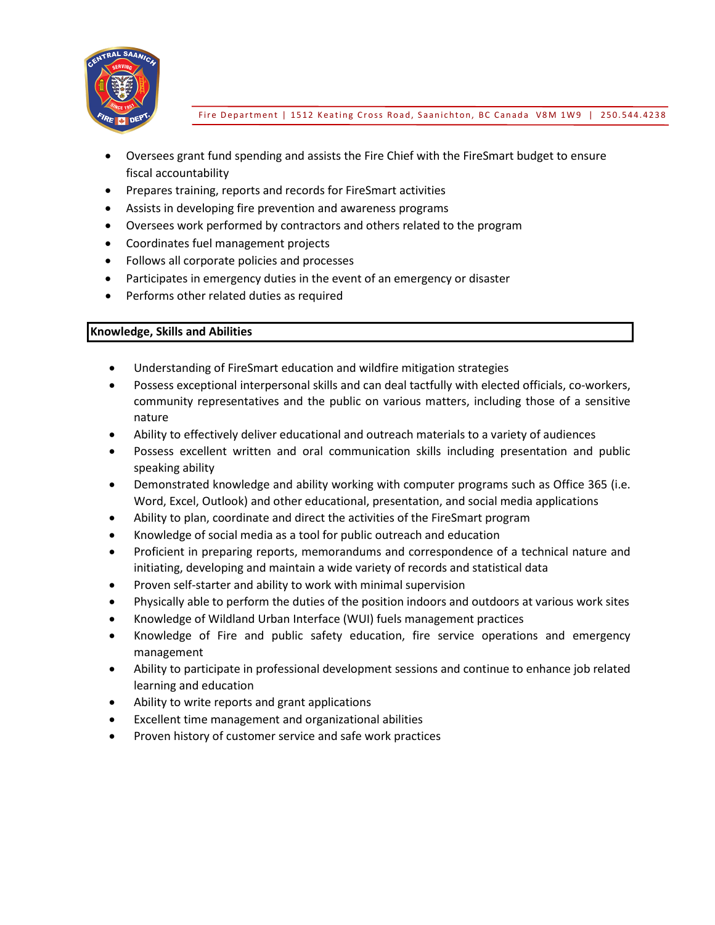

Fire Department | 1512 Keating Cross Road, Saanichton, BC Canada V8M 1W9 | 250.544.4238

- Oversees grant fund spending and assists the Fire Chief with the FireSmart budget to ensure fiscal accountability
- Prepares training, reports and records for FireSmart activities
- Assists in developing fire prevention and awareness programs
- Oversees work performed by contractors and others related to the program
- Coordinates fuel management projects
- Follows all corporate policies and processes
- Participates in emergency duties in the event of an emergency or disaster
- Performs other related duties as required

# **Knowledge, Skills and Abilities**

- Understanding of FireSmart education and wildfire mitigation strategies
- Possess exceptional interpersonal skills and can deal tactfully with elected officials, co-workers, community representatives and the public on various matters, including those of a sensitive nature
- Ability to effectively deliver educational and outreach materials to a variety of audiences
- Possess excellent written and oral communication skills including presentation and public speaking ability
- Demonstrated knowledge and ability working with computer programs such as Office 365 (i.e. Word, Excel, Outlook) and other educational, presentation, and social media applications
- Ability to plan, coordinate and direct the activities of the FireSmart program
- Knowledge of social media as a tool for public outreach and education
- Proficient in preparing reports, memorandums and correspondence of a technical nature and initiating, developing and maintain a wide variety of records and statistical data
- Proven self-starter and ability to work with minimal supervision
- Physically able to perform the duties of the position indoors and outdoors at various work sites
- Knowledge of Wildland Urban Interface (WUI) fuels management practices
- Knowledge of Fire and public safety education, fire service operations and emergency management
- Ability to participate in professional development sessions and continue to enhance job related learning and education
- Ability to write reports and grant applications
- Excellent time management and organizational abilities
- Proven history of customer service and safe work practices